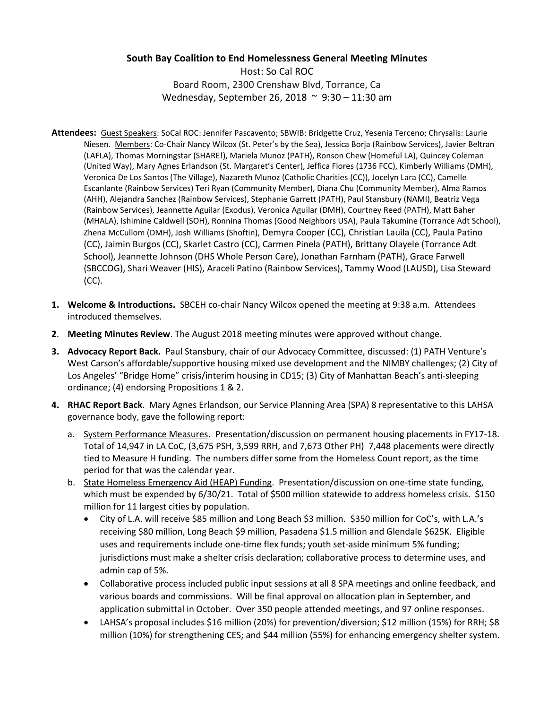## **South Bay Coalition to End Homelessness General Meeting Minutes**

Host: So Cal ROC Board Room, 2300 Crenshaw Blvd, Torrance, Ca Wednesday, September 26, 2018 ~ 9:30 – 11:30 am

- **Attendees:** Guest Speakers: SoCal ROC: Jennifer Pascavento; SBWIB: Bridgette Cruz, Yesenia Terceno; Chrysalis: Laurie Niesen. Members: Co-Chair Nancy Wilcox (St. Peter's by the Sea), Jessica Borja (Rainbow Services), Javier Beltran (LAFLA), Thomas Morningstar (SHARE!), Mariela Munoz (PATH), Ronson Chew (Homeful LA), Quincey Coleman (United Way), Mary Agnes Erlandson (St. Margaret's Center), Jeffica Flores (1736 FCC), Kimberly Williams (DMH), Veronica De Los Santos (The Village), Nazareth Munoz (Catholic Charities (CC)), Jocelyn Lara (CC), Camelle Escanlante (Rainbow Services) Teri Ryan (Community Member), Diana Chu (Community Member), Alma Ramos (AHH), Alejandra Sanchez (Rainbow Services), Stephanie Garrett (PATH), Paul Stansbury (NAMI), Beatriz Vega (Rainbow Services), Jeannette Aguilar (Exodus), Veronica Aguilar (DMH), Courtney Reed (PATH), Matt Baher (MHALA), Ishimine Caldwell (SOH), Ronnina Thomas (Good Neighbors USA), Paula Takumine (Torrance Adt School), Zhena McCullom (DMH), Josh Williams (Shoftin), Demyra Cooper (CC), Christian Lauila (CC), Paula Patino (CC), Jaimin Burgos (CC), Skarlet Castro (CC), Carmen Pinela (PATH), Brittany Olayele (Torrance Adt School), Jeannette Johnson (DHS Whole Person Care), Jonathan Farnham (PATH), Grace Farwell (SBCCOG), Shari Weaver (HIS), Araceli Patino (Rainbow Services), Tammy Wood (LAUSD), Lisa Steward (CC).
- **1. Welcome & Introductions.** SBCEH co-chair Nancy Wilcox opened the meeting at 9:38 a.m. Attendees introduced themselves.
- **2**. **Meeting Minutes Review**. The August 2018 meeting minutes were approved without change.
- **3. Advocacy Report Back.** Paul Stansbury, chair of our Advocacy Committee, discussed: (1) PATH Venture's West Carson's affordable/supportive housing mixed use development and the NIMBY challenges; (2) City of Los Angeles' "Bridge Home" crisis/interim housing in CD15; (3) City of Manhattan Beach's anti-sleeping ordinance; (4) endorsing Propositions 1 & 2.
- **4. RHAC Report Back**. Mary Agnes Erlandson, our Service Planning Area (SPA) 8 representative to this LAHSA governance body, gave the following report:
	- a. System Performance Measures**.** Presentation/discussion on permanent housing placements in FY17-18. Total of 14,947 in LA CoC, (3,675 PSH, 3,599 RRH, and 7,673 Other PH) 7,448 placements were directly tied to Measure H funding. The numbers differ some from the Homeless Count report, as the time period for that was the calendar year.
	- b. State Homeless Emergency Aid (HEAP) Funding.Presentation/discussion on one-time state funding, which must be expended by 6/30/21. Total of \$500 million statewide to address homeless crisis. \$150 million for 11 largest cities by population.
		- City of L.A. will receive \$85 million and Long Beach \$3 million. \$350 million for CoC's, with L.A.'s receiving \$80 million, Long Beach \$9 million, Pasadena \$1.5 million and Glendale \$625K. Eligible uses and requirements include one-time flex funds; youth set-aside minimum 5% funding; jurisdictions must make a shelter crisis declaration; collaborative process to determine uses, and admin cap of 5%.
		- Collaborative process included public input sessions at all 8 SPA meetings and online feedback, and various boards and commissions. Will be final approval on allocation plan in September, and application submittal in October. Over 350 people attended meetings, and 97 online responses.
		- LAHSA's proposal includes \$16 million (20%) for prevention/diversion; \$12 million (15%) for RRH; \$8 million (10%) for strengthening CES; and \$44 million (55%) for enhancing emergency shelter system.